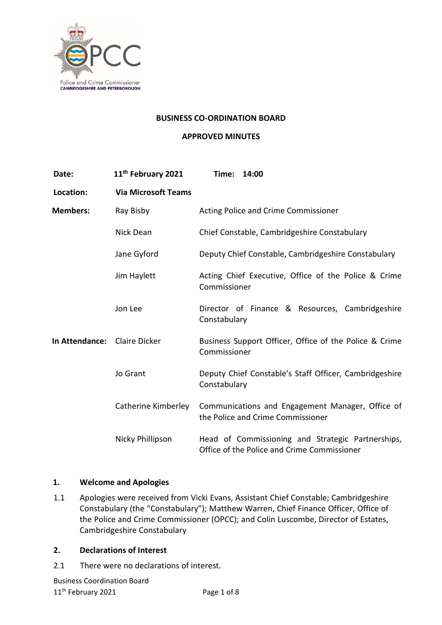

#### **BUSINESS CO-ORDINATION BOARD**

### **APPROVED MINUTES**

| Date:                        | 11 <sup>th</sup> February 2021 | 14:00<br>Time:                                                                                   |
|------------------------------|--------------------------------|--------------------------------------------------------------------------------------------------|
| Location:                    | <b>Via Microsoft Teams</b>     |                                                                                                  |
| <b>Members:</b>              | Ray Bisby                      | Acting Police and Crime Commissioner                                                             |
|                              | Nick Dean                      | Chief Constable, Cambridgeshire Constabulary                                                     |
|                              | Jane Gyford                    | Deputy Chief Constable, Cambridgeshire Constabulary                                              |
|                              | Jim Haylett                    | Acting Chief Executive, Office of the Police & Crime<br>Commissioner                             |
|                              | Jon Lee                        | Director of Finance & Resources, Cambridgeshire<br>Constabulary                                  |
| In Attendance: Claire Dicker |                                | Business Support Officer, Office of the Police & Crime<br>Commissioner                           |
|                              | Jo Grant                       | Deputy Chief Constable's Staff Officer, Cambridgeshire<br>Constabulary                           |
|                              | Catherine Kimberley            | Communications and Engagement Manager, Office of<br>the Police and Crime Commissioner            |
|                              | Nicky Phillipson               | Head of Commissioning and Strategic Partnerships,<br>Office of the Police and Crime Commissioner |

## **1. Welcome and Apologies**

1.1 Apologies were received from Vicki Evans, Assistant Chief Constable; Cambridgeshire Constabulary (the "Constabulary"); Matthew Warren, Chief Finance Officer, Office of the Police and Crime Commissioner (OPCC); and Colin Luscombe, Director of Estates, Cambridgeshire Constabulary

#### **2. Declarations of Interest**

2.1 There were no declarations of interest.

Business Coordination Board 11<sup>th</sup> February 2021 **Page 1 of 8**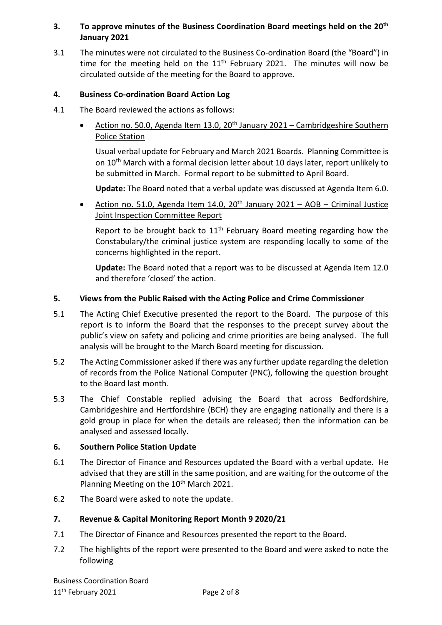# **3. To approve minutes of the Business Coordination Board meetings held on the 20th January 2021**

3.1 The minutes were not circulated to the Business Co-ordination Board (the "Board") in time for the meeting held on the  $11<sup>th</sup>$  February 2021. The minutes will now be circulated outside of the meeting for the Board to approve.

### **4. Business Co-ordination Board Action Log**

- 4.1 The Board reviewed the actions as follows:
	- Action no. 50.0, Agenda Item 13.0, 20<sup>th</sup> January 2021 Cambridgeshire Southern Police Station

Usual verbal update for February and March 2021 Boards. Planning Committee is on 10<sup>th</sup> March with a formal decision letter about 10 days later, report unlikely to be submitted in March. Formal report to be submitted to April Board.

**Update:** The Board noted that a verbal update was discussed at Agenda Item 6.0.

• Action no. 51.0, Agenda Item 14.0, 20<sup>th</sup> January 2021 – AOB – Criminal Justice Joint Inspection Committee Report

Report to be brought back to  $11<sup>th</sup>$  February Board meeting regarding how the Constabulary/the criminal justice system are responding locally to some of the concerns highlighted in the report.

**Update:** The Board noted that a report was to be discussed at Agenda Item 12.0 and therefore 'closed' the action.

### **5. Views from the Public Raised with the Acting Police and Crime Commissioner**

- 5.1 The Acting Chief Executive presented the report to the Board. The purpose of this report is to inform the Board that the responses to the precept survey about the public's view on safety and policing and crime priorities are being analysed. The full analysis will be brought to the March Board meeting for discussion.
- 5.2 The Acting Commissioner asked if there was any further update regarding the deletion of records from the Police National Computer (PNC), following the question brought to the Board last month.
- 5.3 The Chief Constable replied advising the Board that across Bedfordshire, Cambridgeshire and Hertfordshire (BCH) they are engaging nationally and there is a gold group in place for when the details are released; then the information can be analysed and assessed locally.

## **6. Southern Police Station Update**

- 6.1 The Director of Finance and Resources updated the Board with a verbal update. He advised that they are still in the same position, and are waiting for the outcome of the Planning Meeting on the 10<sup>th</sup> March 2021.
- 6.2 The Board were asked to note the update.

#### **7. Revenue & Capital Monitoring Report Month 9 2020/21**

- 7.1 The Director of Finance and Resources presented the report to the Board.
- 7.2 The highlights of the report were presented to the Board and were asked to note the following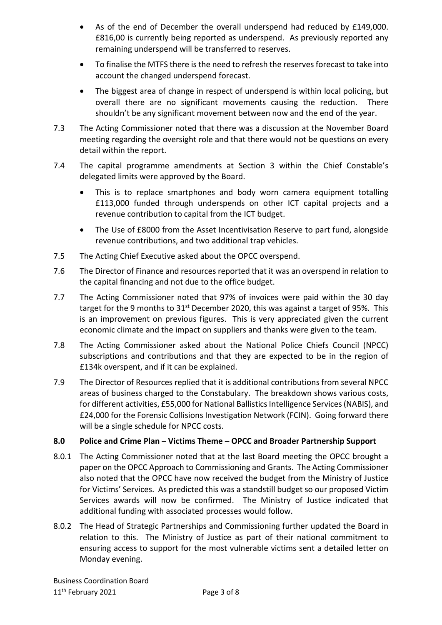- As of the end of December the overall underspend had reduced by £149,000. £816,00 is currently being reported as underspend. As previously reported any remaining underspend will be transferred to reserves.
- To finalise the MTFS there is the need to refresh the reserves forecast to take into account the changed underspend forecast.
- The biggest area of change in respect of underspend is within local policing, but overall there are no significant movements causing the reduction. There shouldn't be any significant movement between now and the end of the year.
- 7.3 The Acting Commissioner noted that there was a discussion at the November Board meeting regarding the oversight role and that there would not be questions on every detail within the report.
- 7.4 The capital programme amendments at Section 3 within the Chief Constable's delegated limits were approved by the Board.
	- This is to replace smartphones and body worn camera equipment totalling £113,000 funded through underspends on other ICT capital projects and a revenue contribution to capital from the ICT budget.
	- The Use of £8000 from the Asset Incentivisation Reserve to part fund, alongside revenue contributions, and two additional trap vehicles.
- 7.5 The Acting Chief Executive asked about the OPCC overspend.
- 7.6 The Director of Finance and resources reported that it was an overspend in relation to the capital financing and not due to the office budget.
- 7.7 The Acting Commissioner noted that 97% of invoices were paid within the 30 day target for the 9 months to  $31^{st}$  December 2020, this was against a target of 95%. This is an improvement on previous figures. This is very appreciated given the current economic climate and the impact on suppliers and thanks were given to the team.
- 7.8 The Acting Commissioner asked about the National Police Chiefs Council (NPCC) subscriptions and contributions and that they are expected to be in the region of £134k overspent, and if it can be explained.
- 7.9 The Director of Resources replied that it is additional contributions from several NPCC areas of business charged to the Constabulary. The breakdown shows various costs, for different activities, £55,000 for National Ballistics Intelligence Services (NABIS), and £24,000 for the Forensic Collisions Investigation Network (FCIN). Going forward there will be a single schedule for NPCC costs.

## **8.0 Police and Crime Plan – Victims Theme – OPCC and Broader Partnership Support**

- 8.0.1 The Acting Commissioner noted that at the last Board meeting the OPCC brought a paper on the OPCC Approach to Commissioning and Grants. The Acting Commissioner also noted that the OPCC have now received the budget from the Ministry of Justice for Victims' Services. As predicted this was a standstill budget so our proposed Victim Services awards will now be confirmed. The Ministry of Justice indicated that additional funding with associated processes would follow.
- 8.0.2 The Head of Strategic Partnerships and Commissioning further updated the Board in relation to this. The Ministry of Justice as part of their national commitment to ensuring access to support for the most vulnerable victims sent a detailed letter on Monday evening.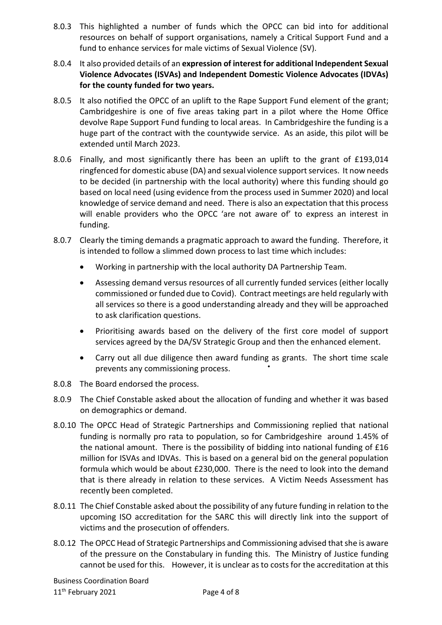- 8.0.3 This highlighted a number of funds which the OPCC can bid into for additional resources on behalf of support organisations, namely a Critical Support Fund and a fund to enhance services for male victims of Sexual Violence (SV).
- 8.0.4 It also provided details of an **expression of interest for additional Independent Sexual Violence Advocates (ISVAs) and Independent Domestic Violence Advocates (IDVAs) for the county funded for two years.**
- 8.0.5 It also notified the OPCC of an uplift to the Rape Support Fund element of the grant; Cambridgeshire is one of five areas taking part in a pilot where the Home Office devolve Rape Support Fund funding to local areas. In Cambridgeshire the funding is a huge part of the contract with the countywide service. As an aside, this pilot will be extended until March 2023.
- 8.0.6 Finally, and most significantly there has been an uplift to the grant of £193,014 ringfenced for domestic abuse (DA) and sexual violence support services. It now needs to be decided (in partnership with the local authority) where this funding should go based on local need (using evidence from the process used in Summer 2020) and local knowledge of service demand and need. There is also an expectation that this process will enable providers who the OPCC 'are not aware of' to express an interest in funding.
- 8.0.7 Clearly the timing demands a pragmatic approach to award the funding. Therefore, it is intended to follow a slimmed down process to last time which includes:
	- Working in partnership with the local authority DA Partnership Team.
	- Assessing demand versus resources of all currently funded services (either locally commissioned or funded due to Covid). Contract meetings are held regularly with all services so there is a good understanding already and they will be approached to ask clarification questions.
	- Prioritising awards based on the delivery of the first core model of support services agreed by the DA/SV Strategic Group and then the enhanced element.
	- Carry out all due diligence then award funding as grants. The short time scale prevents any commissioning process.
- 8.0.8 The Board endorsed the process.
- 8.0.9 The Chief Constable asked about the allocation of funding and whether it was based on demographics or demand.
- 8.0.10 The OPCC Head of Strategic Partnerships and Commissioning replied that national funding is normally pro rata to population, so for Cambridgeshire around 1.45% of the national amount. There is the possibility of bidding into national funding of £16 million for ISVAs and IDVAs. This is based on a general bid on the general population formula which would be about £230,000. There is the need to look into the demand that is there already in relation to these services. A Victim Needs Assessment has recently been completed.
- 8.0.11 The Chief Constable asked about the possibility of any future funding in relation to the upcoming ISO accreditation for the SARC this will directly link into the support of victims and the prosecution of offenders.
- 8.0.12 The OPCC Head of Strategic Partnerships and Commissioning advised that she is aware of the pressure on the Constabulary in funding this. The Ministry of Justice funding cannot be used for this. However, it is unclear as to costs for the accreditation at this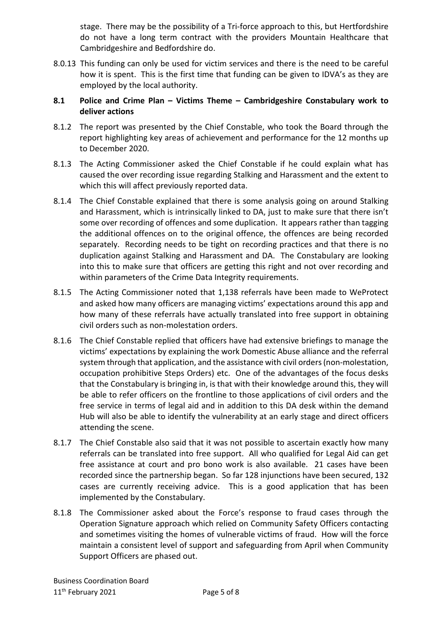stage. There may be the possibility of a Tri-force approach to this, but Hertfordshire do not have a long term contract with the providers Mountain Healthcare that Cambridgeshire and Bedfordshire do.

8.0.13 This funding can only be used for victim services and there is the need to be careful how it is spent. This is the first time that funding can be given to IDVA's as they are employed by the local authority.

## **8.1 Police and Crime Plan – Victims Theme – Cambridgeshire Constabulary work to deliver actions**

- 8.1.2 The report was presented by the Chief Constable, who took the Board through the report highlighting key areas of achievement and performance for the 12 months up to December 2020.
- 8.1.3 The Acting Commissioner asked the Chief Constable if he could explain what has caused the over recording issue regarding Stalking and Harassment and the extent to which this will affect previously reported data.
- 8.1.4 The Chief Constable explained that there is some analysis going on around Stalking and Harassment, which is intrinsically linked to DA, just to make sure that there isn't some over recording of offences and some duplication. It appears rather than tagging the additional offences on to the original offence, the offences are being recorded separately. Recording needs to be tight on recording practices and that there is no duplication against Stalking and Harassment and DA. The Constabulary are looking into this to make sure that officers are getting this right and not over recording and within parameters of the Crime Data Integrity requirements.
- 8.1.5 The Acting Commissioner noted that 1,138 referrals have been made to WeProtect and asked how many officers are managing victims' expectations around this app and how many of these referrals have actually translated into free support in obtaining civil orders such as non-molestation orders.
- 8.1.6 The Chief Constable replied that officers have had extensive briefings to manage the victims' expectations by explaining the work Domestic Abuse alliance and the referral system through that application, and the assistance with civil orders (non-molestation, occupation prohibitive Steps Orders) etc. One of the advantages of the focus desks that the Constabulary is bringing in, is that with their knowledge around this, they will be able to refer officers on the frontline to those applications of civil orders and the free service in terms of legal aid and in addition to this DA desk within the demand Hub will also be able to identify the vulnerability at an early stage and direct officers attending the scene.
- 8.1.7 The Chief Constable also said that it was not possible to ascertain exactly how many referrals can be translated into free support. All who qualified for Legal Aid can get free assistance at court and pro bono work is also available. 21 cases have been recorded since the partnership began. So far 128 injunctions have been secured, 132 cases are currently receiving advice. This is a good application that has been implemented by the Constabulary.
- 8.1.8 The Commissioner asked about the Force's response to fraud cases through the Operation Signature approach which relied on Community Safety Officers contacting and sometimes visiting the homes of vulnerable victims of fraud. How will the force maintain a consistent level of support and safeguarding from April when Community Support Officers are phased out.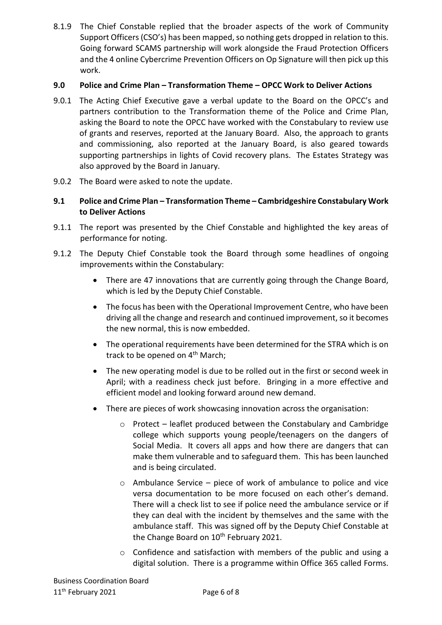8.1.9 The Chief Constable replied that the broader aspects of the work of Community Support Officers (CSO's) has been mapped, so nothing gets dropped in relation to this. Going forward SCAMS partnership will work alongside the Fraud Protection Officers and the 4 online Cybercrime Prevention Officers on Op Signature will then pick up this work.

## **9.0 Police and Crime Plan – Transformation Theme – OPCC Work to Deliver Actions**

- 9.0.1 The Acting Chief Executive gave a verbal update to the Board on the OPCC's and partners contribution to the Transformation theme of the Police and Crime Plan, asking the Board to note the OPCC have worked with the Constabulary to review use of grants and reserves, reported at the January Board. Also, the approach to grants and commissioning, also reported at the January Board, is also geared towards supporting partnerships in lights of Covid recovery plans. The Estates Strategy was also approved by the Board in January.
- 9.0.2 The Board were asked to note the update.

# **9.1 Police and Crime Plan – Transformation Theme – Cambridgeshire Constabulary Work to Deliver Actions**

- 9.1.1 The report was presented by the Chief Constable and highlighted the key areas of performance for noting.
- 9.1.2 The Deputy Chief Constable took the Board through some headlines of ongoing improvements within the Constabulary:
	- There are 47 innovations that are currently going through the Change Board, which is led by the Deputy Chief Constable.
	- The focus has been with the Operational Improvement Centre, who have been driving all the change and research and continued improvement, so it becomes the new normal, this is now embedded.
	- The operational requirements have been determined for the STRA which is on track to be opened on 4<sup>th</sup> March;
	- The new operating model is due to be rolled out in the first or second week in April; with a readiness check just before. Bringing in a more effective and efficient model and looking forward around new demand.
	- There are pieces of work showcasing innovation across the organisation:
		- $\circ$  Protect leaflet produced between the Constabulary and Cambridge college which supports young people/teenagers on the dangers of Social Media. It covers all apps and how there are dangers that can make them vulnerable and to safeguard them. This has been launched and is being circulated.
		- $\circ$  Ambulance Service piece of work of ambulance to police and vice versa documentation to be more focused on each other's demand. There will a check list to see if police need the ambulance service or if they can deal with the incident by themselves and the same with the ambulance staff. This was signed off by the Deputy Chief Constable at the Change Board on 10<sup>th</sup> February 2021.
		- o Confidence and satisfaction with members of the public and using a digital solution. There is a programme within Office 365 called Forms.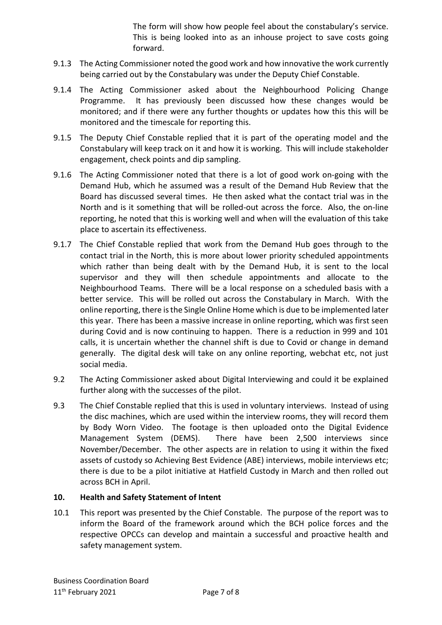The form will show how people feel about the constabulary's service. This is being looked into as an inhouse project to save costs going forward.

- 9.1.3 The Acting Commissioner noted the good work and how innovative the work currently being carried out by the Constabulary was under the Deputy Chief Constable.
- 9.1.4 The Acting Commissioner asked about the Neighbourhood Policing Change Programme. It has previously been discussed how these changes would be monitored; and if there were any further thoughts or updates how this this will be monitored and the timescale for reporting this.
- 9.1.5 The Deputy Chief Constable replied that it is part of the operating model and the Constabulary will keep track on it and how it is working. This will include stakeholder engagement, check points and dip sampling.
- 9.1.6 The Acting Commissioner noted that there is a lot of good work on-going with the Demand Hub, which he assumed was a result of the Demand Hub Review that the Board has discussed several times. He then asked what the contact trial was in the North and is it something that will be rolled-out across the force. Also, the on-line reporting, he noted that this is working well and when will the evaluation of this take place to ascertain its effectiveness.
- 9.1.7 The Chief Constable replied that work from the Demand Hub goes through to the contact trial in the North, this is more about lower priority scheduled appointments which rather than being dealt with by the Demand Hub, it is sent to the local supervisor and they will then schedule appointments and allocate to the Neighbourhood Teams. There will be a local response on a scheduled basis with a better service. This will be rolled out across the Constabulary in March. With the online reporting, there is the Single Online Home which is due to be implemented later this year. There has been a massive increase in online reporting, which was first seen during Covid and is now continuing to happen. There is a reduction in 999 and 101 calls, it is uncertain whether the channel shift is due to Covid or change in demand generally. The digital desk will take on any online reporting, webchat etc, not just social media.
- 9.2 The Acting Commissioner asked about Digital Interviewing and could it be explained further along with the successes of the pilot.
- 9.3 The Chief Constable replied that this is used in voluntary interviews. Instead of using the disc machines, which are used within the interview rooms, they will record them by Body Worn Video. The footage is then uploaded onto the Digital Evidence Management System (DEMS). There have been 2,500 interviews since November/December. The other aspects are in relation to using it within the fixed assets of custody so Achieving Best Evidence (ABE) interviews, mobile interviews etc; there is due to be a pilot initiative at Hatfield Custody in March and then rolled out across BCH in April.

## **10. Health and Safety Statement of Intent**

10.1 This report was presented by the Chief Constable. The purpose of the report was to inform the Board of the framework around which the BCH police forces and the respective OPCCs can develop and maintain a successful and proactive health and safety management system.